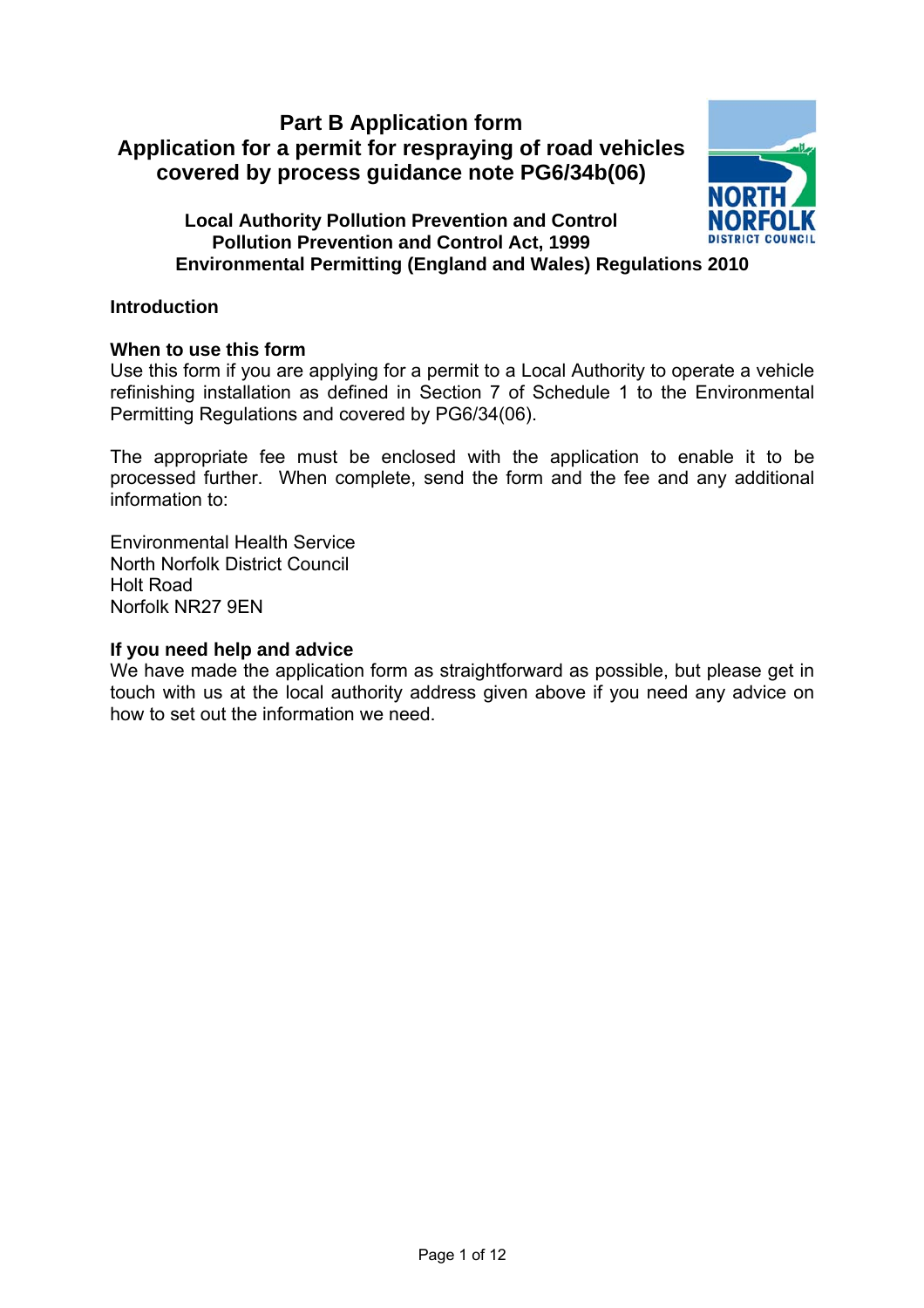# **Part B Application form Application for a permit for respraying of road vehicles covered by process guidance note PG6/34b(06)**



**Local Authority Pollution Prevention and Control Pollution Prevention and Control Act, 1999 Environmental Permitting (England and Wales) Regulations 2010** 

# **Introduction**

# **When to use this form**

Use this form if you are applying for a permit to a Local Authority to operate a vehicle refinishing installation as defined in Section 7 of Schedule 1 to the Environmental Permitting Regulations and covered by PG6/34(06).

The appropriate fee must be enclosed with the application to enable it to be processed further. When complete, send the form and the fee and any additional information to:

Environmental Health Service North Norfolk District Council Holt Road Norfolk NR27 9EN

# **If you need help and advice**

We have made the application form as straightforward as possible, but please get in touch with us at the local authority address given above if you need any advice on how to set out the information we need.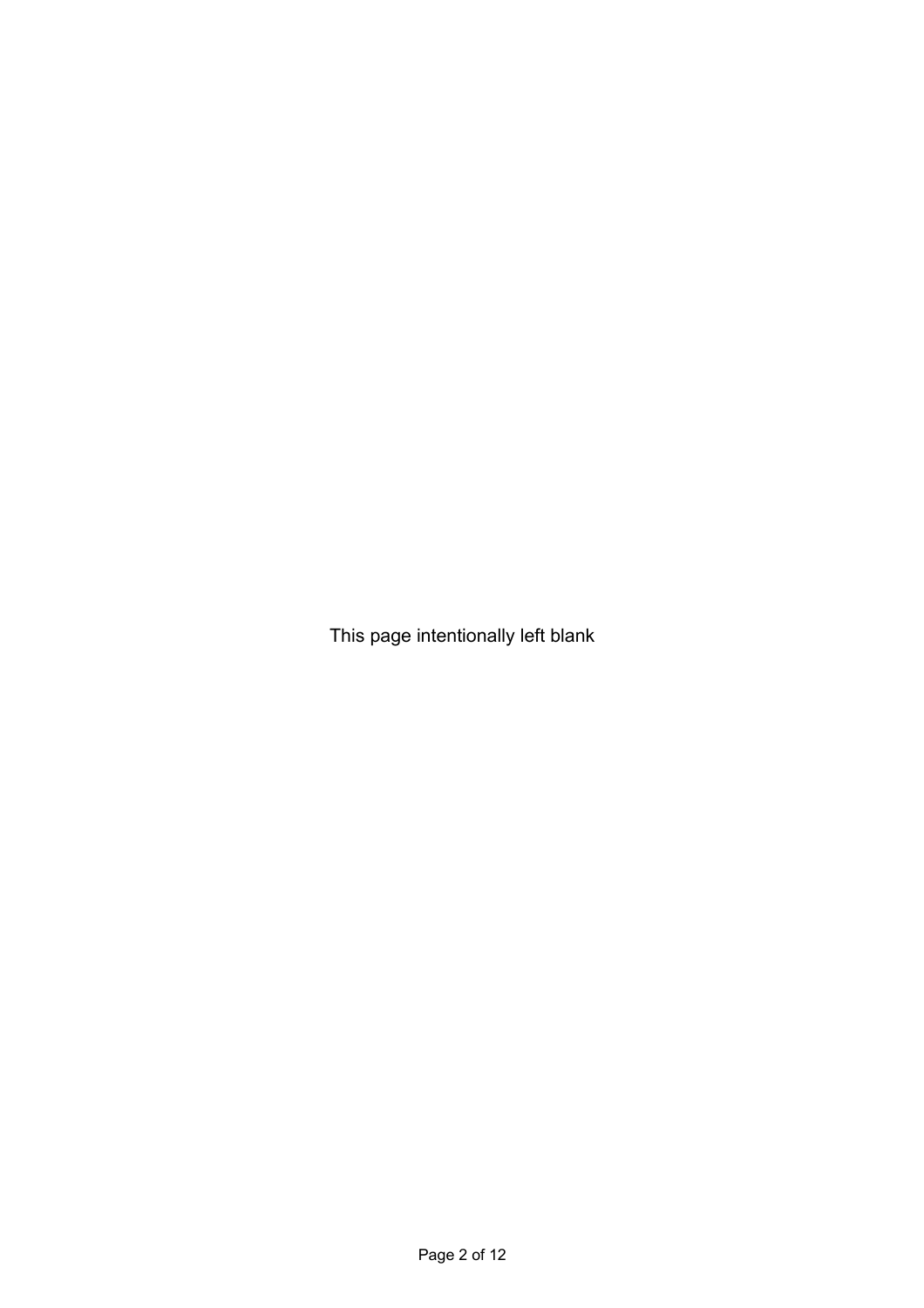This page intentionally left blank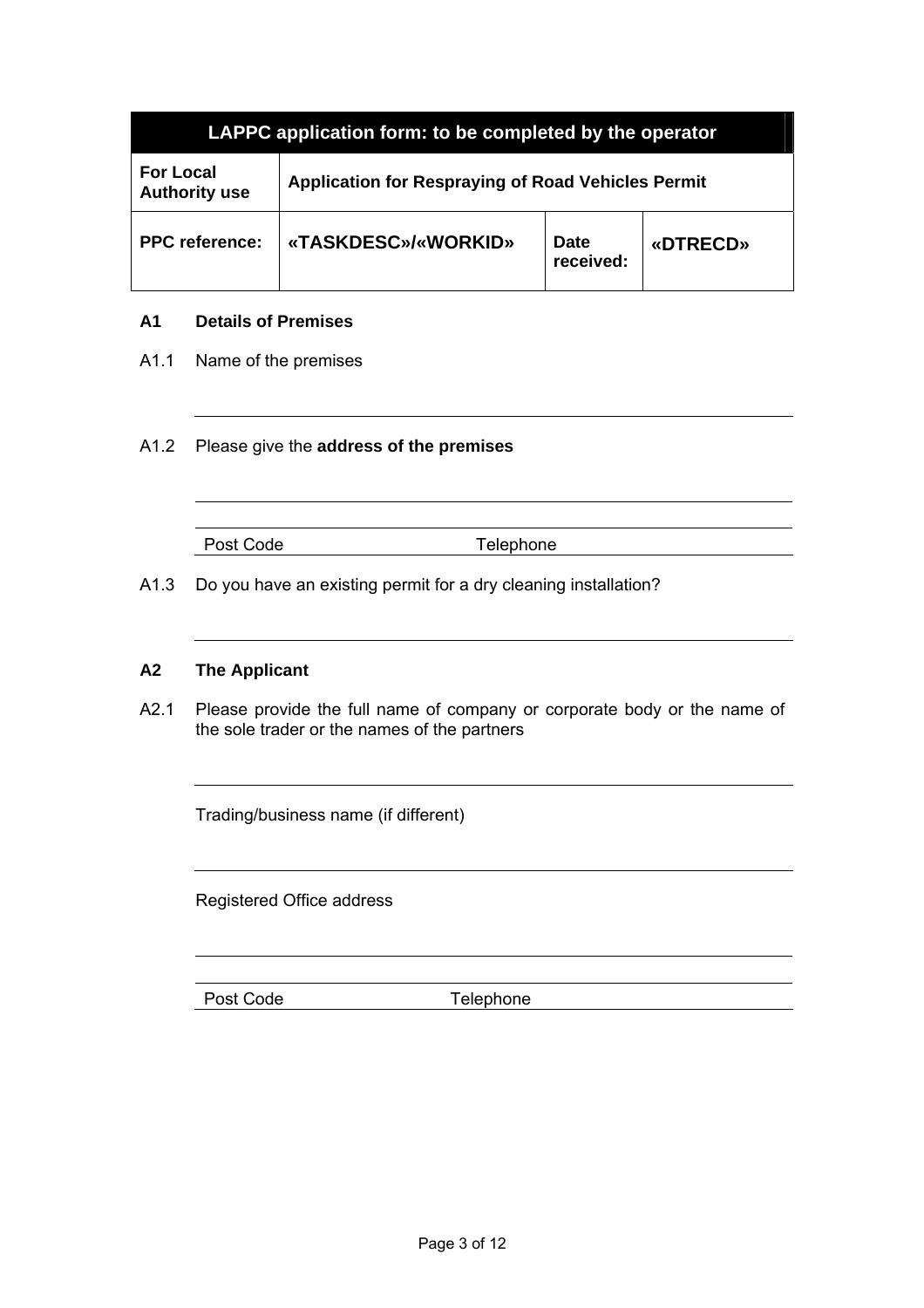|                                          | LAPPC application form: to be completed by the operator |                          |          |
|------------------------------------------|---------------------------------------------------------|--------------------------|----------|
| <b>For Local</b><br><b>Authority use</b> | Application for Respraying of Road Vehicles Permit      |                          |          |
| <b>PPC</b> reference:                    | «TASKDESC»/«WORKID»                                     | <b>Date</b><br>received: | «DTRECD» |

# **A1 Details of Premises**

A1.1 Name of the premises

# A1.2 Please give the **address of the premises**

Post Code Telephone

# A1.3 Do you have an existing permit for a dry cleaning installation?

# **A2 The Applicant**

A2.1 Please provide the full name of company or corporate body or the name of the sole trader or the names of the partners

Trading/business name (if different)

Registered Office address

Post Code Telephone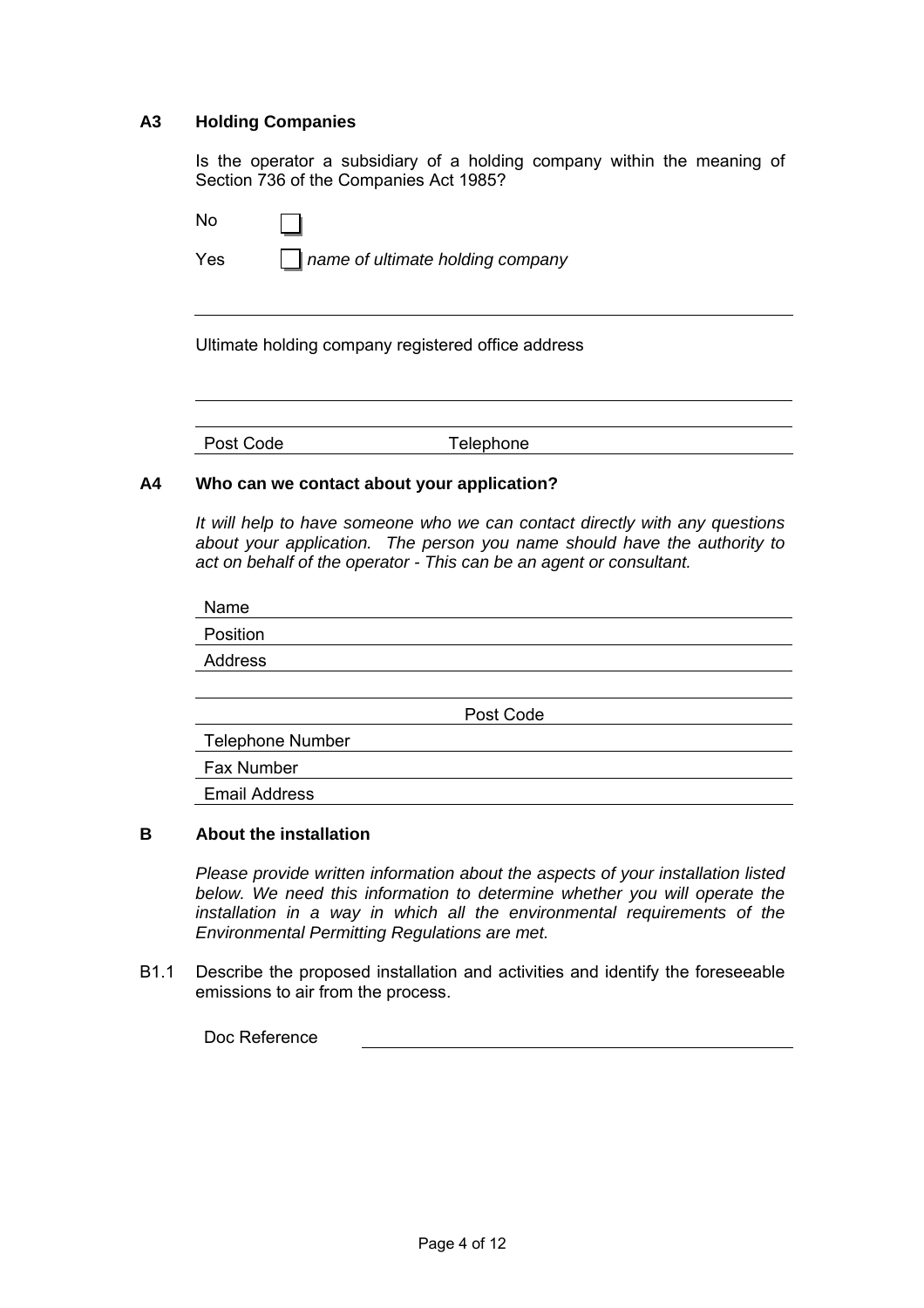### **A3 Holding Companies**

Is the operator a subsidiary of a holding company within the meaning of Section 736 of the Companies Act 1985?

| No<br>× |  |
|---------|--|
|         |  |

Yes *name of ultimate holding company* 

Ultimate holding company registered office address

Post Code Telephone

### **A4 Who can we contact about your application?**

*It will help to have someone who we can contact directly with any questions about your application. The person you name should have the authority to act on behalf of the operator - This can be an agent or consultant.* 

Name

Position

Address

Post Code

Telephone Number

Fax Number

Email Address

#### **B About the installation**

*Please provide written information about the aspects of your installation listed below. We need this information to determine whether you will operate the installation in a way in which all the environmental requirements of the Environmental Permitting Regulations are met.* 

B1.1 Describe the proposed installation and activities and identify the foreseeable emissions to air from the process.

Doc Reference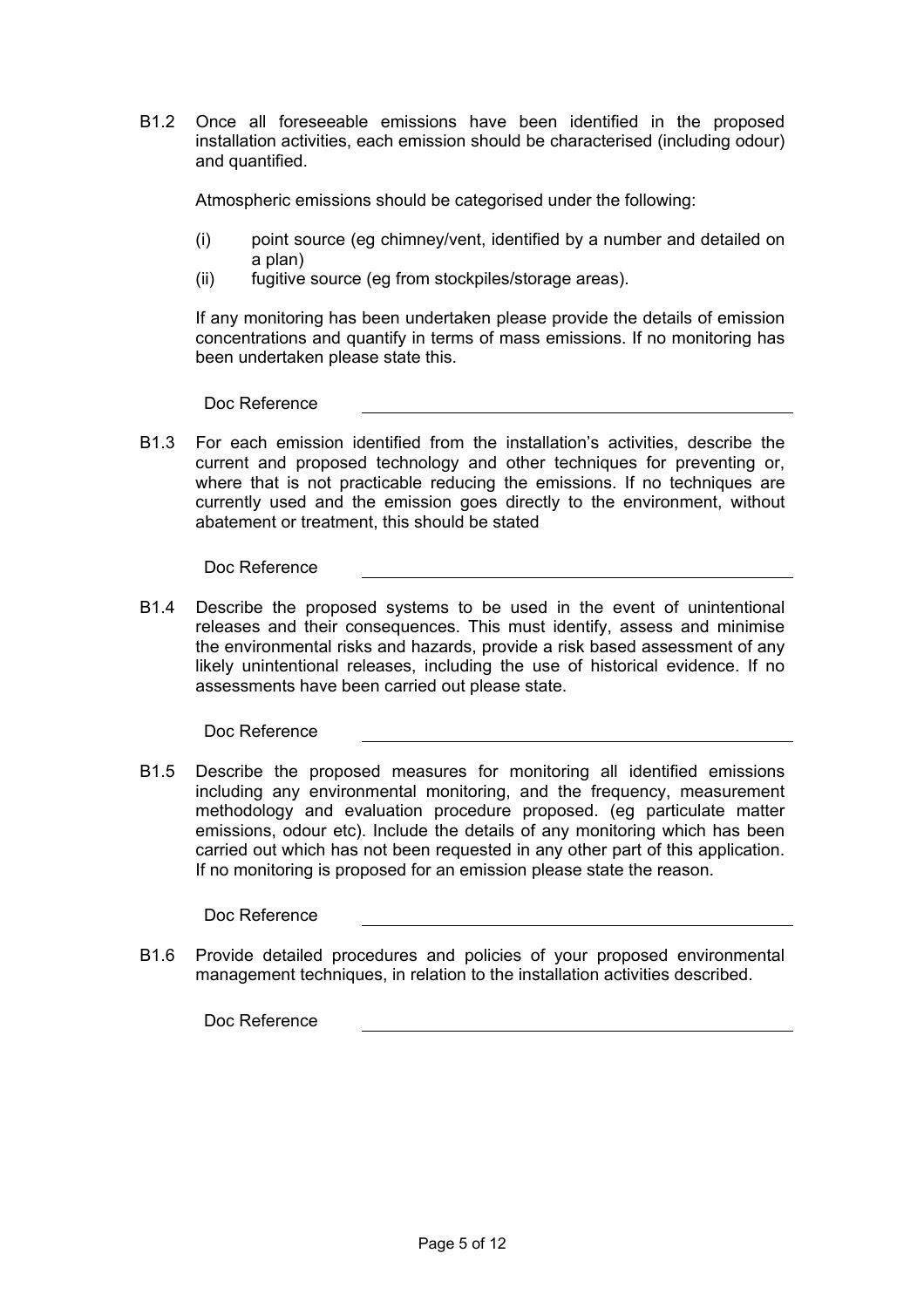B1.2 Once all foreseeable emissions have been identified in the proposed installation activities, each emission should be characterised (including odour) and quantified.

Atmospheric emissions should be categorised under the following:

- (i) point source (eg chimney/vent, identified by a number and detailed on a plan)
- (ii) fugitive source (eg from stockpiles/storage areas).

If any monitoring has been undertaken please provide the details of emission concentrations and quantify in terms of mass emissions. If no monitoring has been undertaken please state this.

Doc Reference

B1.3 For each emission identified from the installation's activities, describe the current and proposed technology and other techniques for preventing or, where that is not practicable reducing the emissions. If no techniques are currently used and the emission goes directly to the environment, without abatement or treatment, this should be stated

Doc Reference

B1.4 Describe the proposed systems to be used in the event of unintentional releases and their consequences. This must identify, assess and minimise the environmental risks and hazards, provide a risk based assessment of any likely unintentional releases, including the use of historical evidence. If no assessments have been carried out please state.

Doc Reference

B1.5 Describe the proposed measures for monitoring all identified emissions including any environmental monitoring, and the frequency, measurement methodology and evaluation procedure proposed. (eg particulate matter emissions, odour etc). Include the details of any monitoring which has been carried out which has not been requested in any other part of this application. If no monitoring is proposed for an emission please state the reason.

Doc Reference

B1.6 Provide detailed procedures and policies of your proposed environmental management techniques, in relation to the installation activities described.

Doc Reference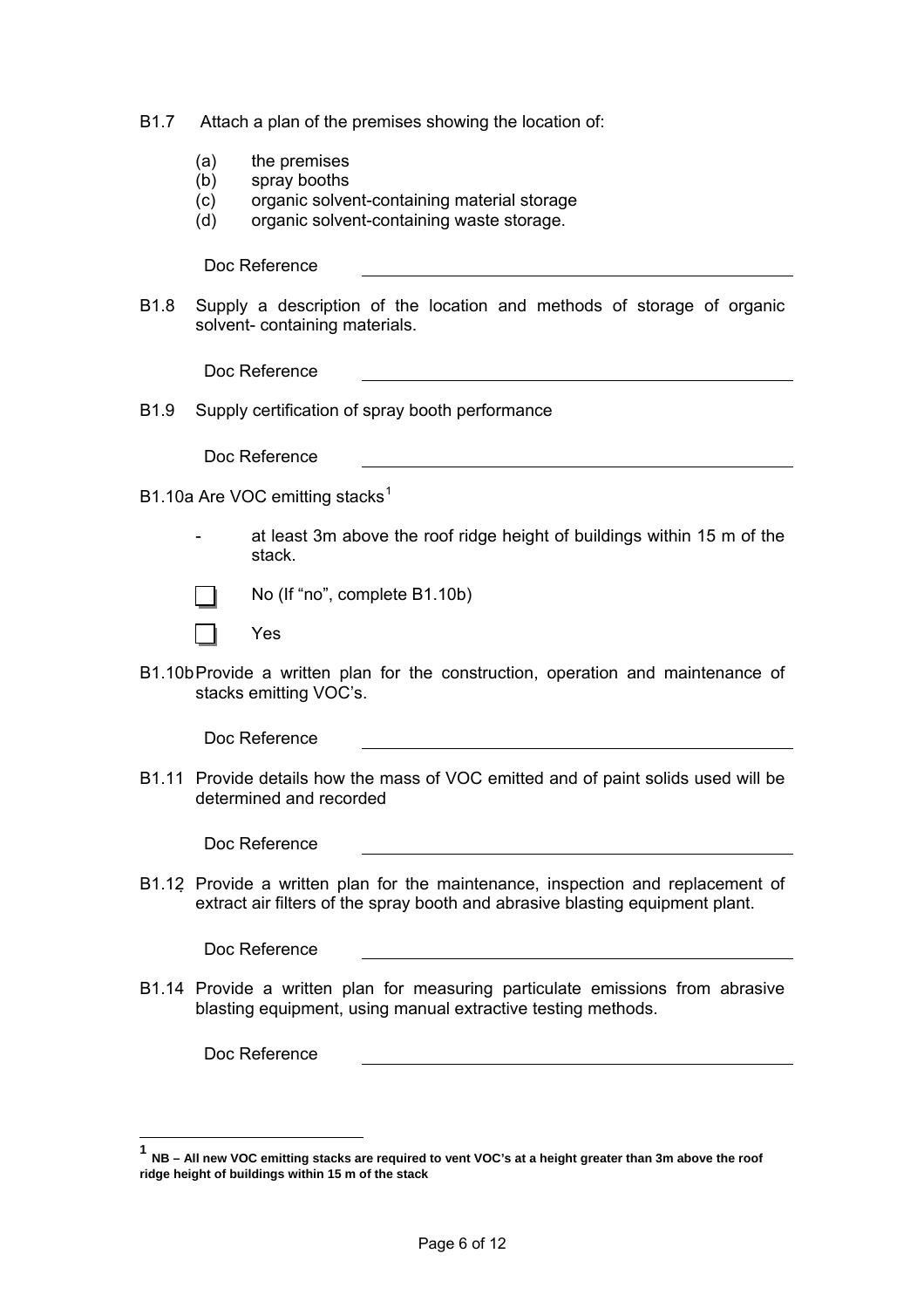- B1.7 Attach a plan of the premises showing the location of:
	- (a) the premises
	- (b) spray booths
	- (c) organic solvent-containing material storage
	- (d) organic solvent-containing waste storage.

Doc Reference

B1.8 Supply a description of the location and methods of storage of organic solvent- containing materials.

Doc Reference

B1.9 Supply certification of spray booth performance

Doc Reference

B[1](#page-5-0).10a Are VOC emitting stacks<sup>1</sup>

at least 3m above the roof ridge height of buildings within 15 m of the stack.

No (If "no", complete B1.10b)

- Yes
- B1.10b Provide a written plan for the construction, operation and maintenance of stacks emitting VOC's.

Doc Reference

B1.11 Provide details how the mass of VOC emitted and of paint solids used will be determined and recorded

Doc Reference

B1.12 Provide a written plan for the maintenance, inspection and replacement of extract air filters of the spray booth and abrasive blasting equipment plant.

Doc Reference

B1.14 Provide a written plan for measuring particulate emissions from abrasive blasting equipment, using manual extractive testing methods.

Doc Reference

<span id="page-5-0"></span>**<sup>1</sup> NB – All new VOC emitting stacks are required to vent VOC's at a height greater than 3m above the roof ridge height of buildings within 15 m of the stack**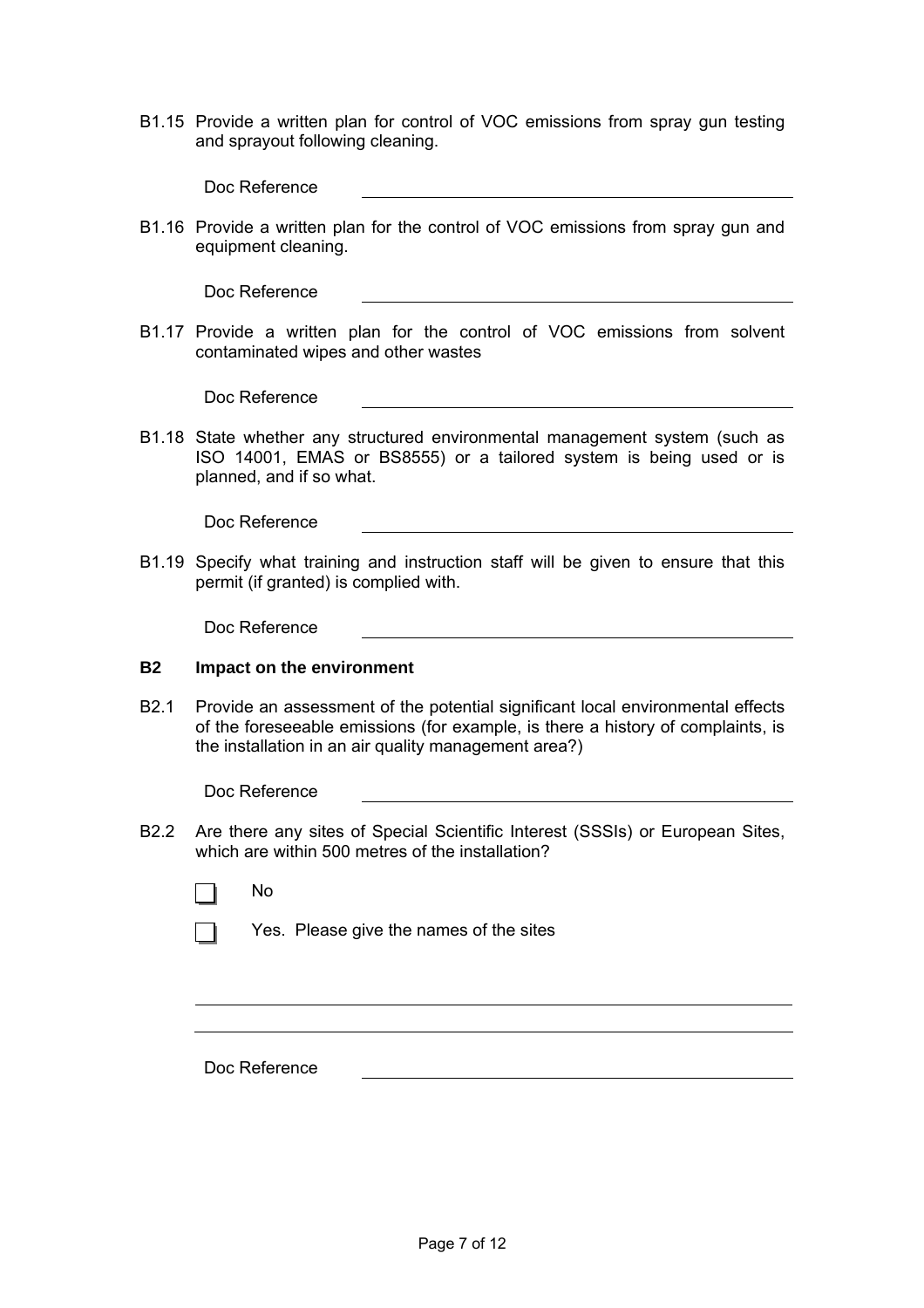B1.15 Provide a written plan for control of VOC emissions from spray gun testing and sprayout following cleaning.

| Doc Reference |  |
|---------------|--|
|---------------|--|

B1.16 Provide a written plan for the control of VOC emissions from spray gun and equipment cleaning.

Doc Reference

B1.17 Provide a written plan for the control of VOC emissions from solvent contaminated wipes and other wastes

Doc Reference

B1.18 State whether any structured environmental management system (such as ISO 14001, EMAS or BS8555) or a tailored system is being used or is planned, and if so what.

Doc Reference

B1.19 Specify what training and instruction staff will be given to ensure that this permit (if granted) is complied with.

Doc Reference

#### **B2 Impact on the environment**

B2.1 Provide an assessment of the potential significant local environmental effects of the foreseeable emissions (for example, is there a history of complaints, is the installation in an air quality management area?)

Doc Reference

B2.2 Are there any sites of Special Scientific Interest (SSSIs) or European Sites, which are within 500 metres of the installation?

|--|--|

 $\Box$  Yes. Please give the names of the sites

Doc Reference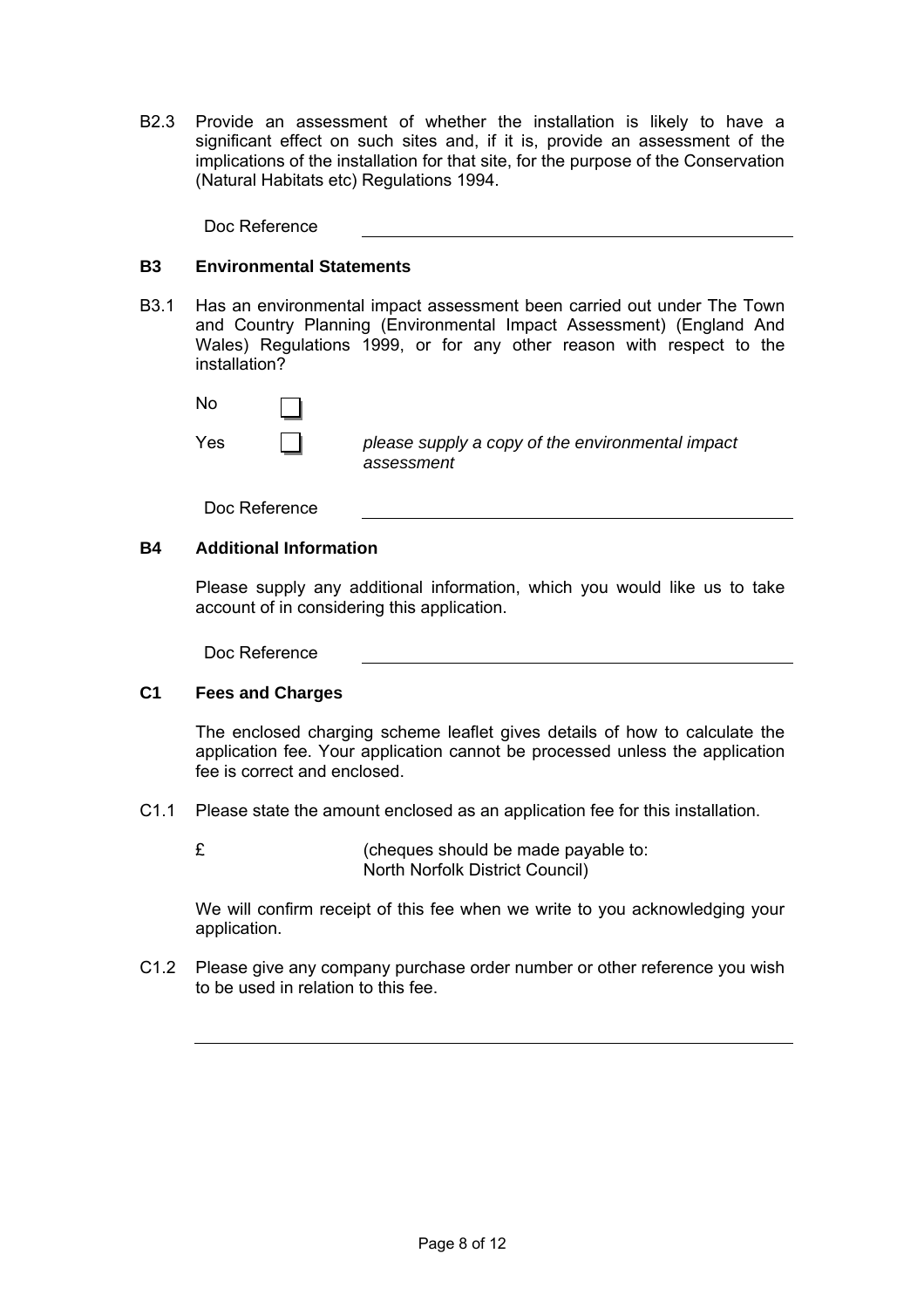B2.3 Provide an assessment of whether the installation is likely to have a significant effect on such sites and, if it is, provide an assessment of the implications of the installation for that site, for the purpose of the Conservation (Natural Habitats etc) Regulations 1994.

Doc Reference

#### **B3 Environmental Statements**

B3.1 Has an environmental impact assessment been carried out under The Town and Country Planning (Environmental Impact Assessment) (England And Wales) Regulations 1999, or for any other reason with respect to the installation?

| No  |                                                                |
|-----|----------------------------------------------------------------|
| Yes | please supply a copy of the environmental impact<br>assessment |

Doc Reference

### **B4 Additional Information**

Please supply any additional information, which you would like us to take account of in considering this application.

Doc Reference

# **C1 Fees and Charges**

The enclosed charging scheme leaflet gives details of how to calculate the application fee. Your application cannot be processed unless the application fee is correct and enclosed.

- C1.1 Please state the amount enclosed as an application fee for this installation.
	- £ (cheques should be made payable to: North Norfolk District Council)

We will confirm receipt of this fee when we write to you acknowledging your application.

C1.2 Please give any company purchase order number or other reference you wish to be used in relation to this fee.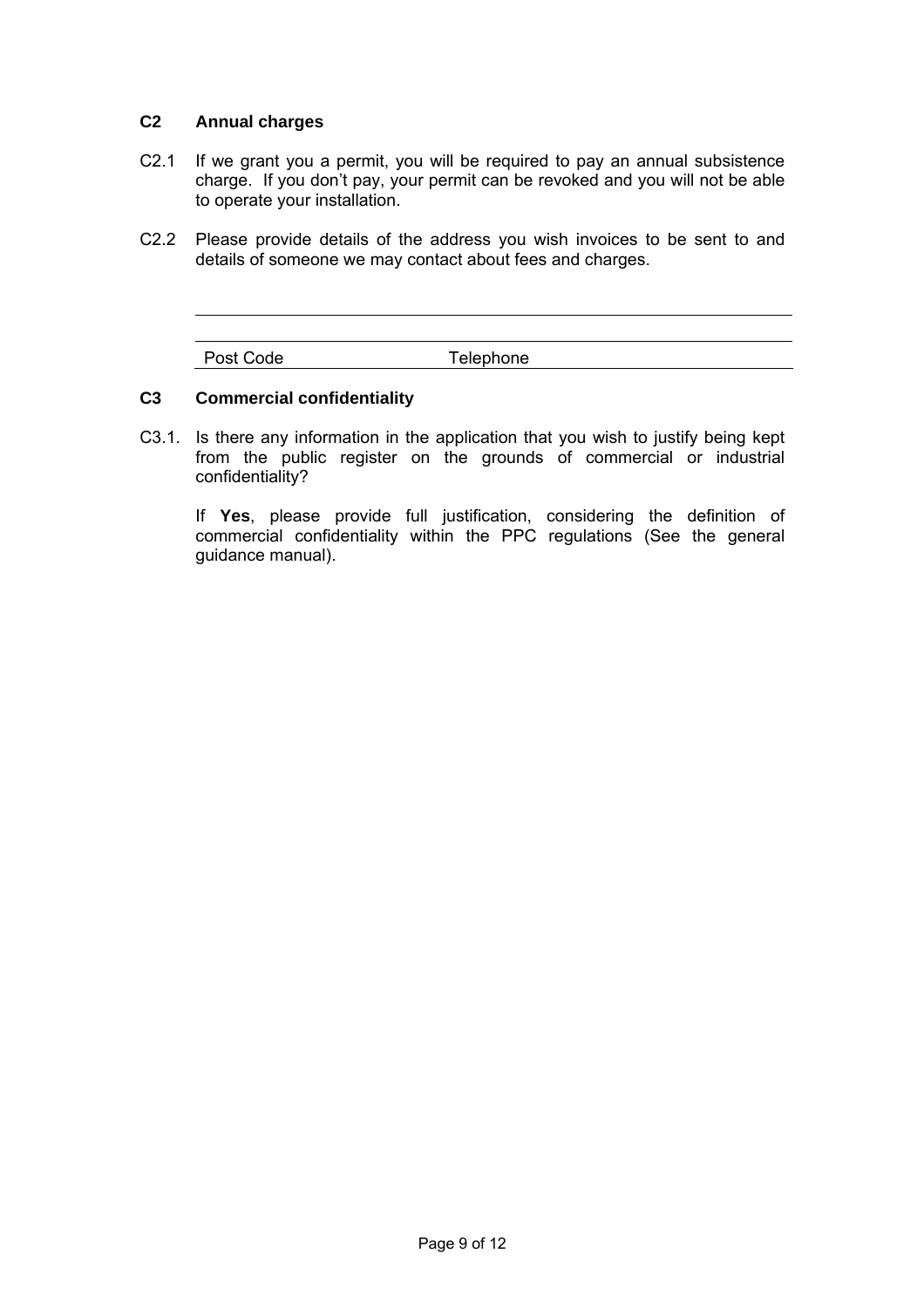### **C2 Annual charges**

- C2.1 If we grant you a permit, you will be required to pay an annual subsistence charge. If you don't pay, your permit can be revoked and you will not be able to operate your installation.
- C2.2 Please provide details of the address you wish invoices to be sent to and details of someone we may contact about fees and charges.

### **C3 Commercial confidentiality**

C3.1. Is there any information in the application that you wish to justify being kept from the public register on the grounds of commercial or industrial confidentiality?

If **Yes**, please provide full justification, considering the definition of commercial confidentiality within the PPC regulations (See the general guidance manual).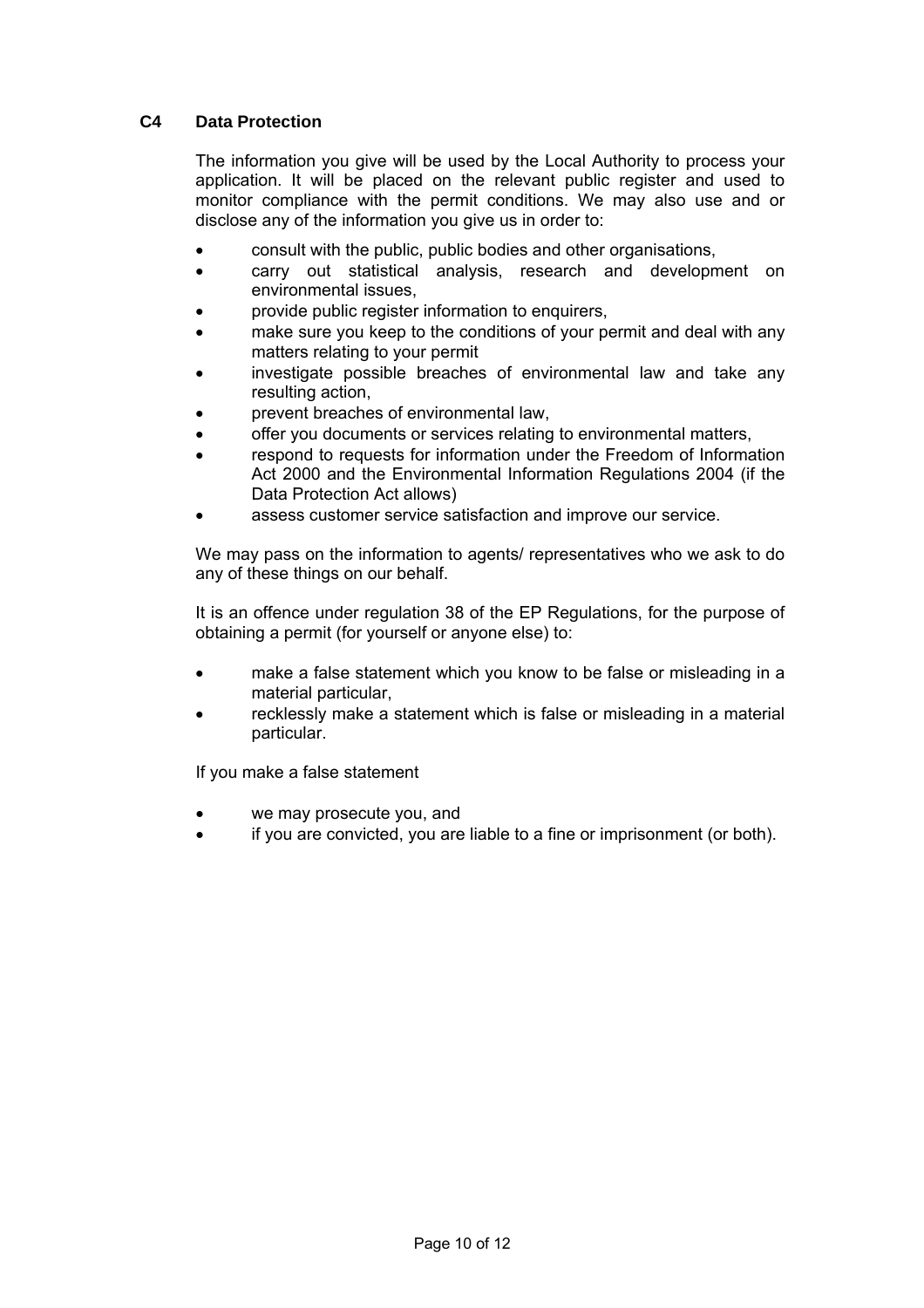# **C4 Data Protection**

The information you give will be used by the Local Authority to process your application. It will be placed on the relevant public register and used to monitor compliance with the permit conditions. We may also use and or disclose any of the information you give us in order to:

- consult with the public, public bodies and other organisations,
- carry out statistical analysis, research and development on environmental issues,
- provide public register information to enquirers,
- make sure you keep to the conditions of your permit and deal with any matters relating to your permit
- investigate possible breaches of environmental law and take any resulting action,
- prevent breaches of environmental law,
- offer you documents or services relating to environmental matters,
- respond to requests for information under the Freedom of Information Act 2000 and the Environmental Information Regulations 2004 (if the Data Protection Act allows)
- assess customer service satisfaction and improve our service.

We may pass on the information to agents/ representatives who we ask to do any of these things on our behalf.

It is an offence under regulation 38 of the EP Regulations, for the purpose of obtaining a permit (for yourself or anyone else) to:

- make a false statement which you know to be false or misleading in a material particular,
- recklessly make a statement which is false or misleading in a material particular.

If you make a false statement

- we may prosecute you, and
- if you are convicted, you are liable to a fine or imprisonment (or both).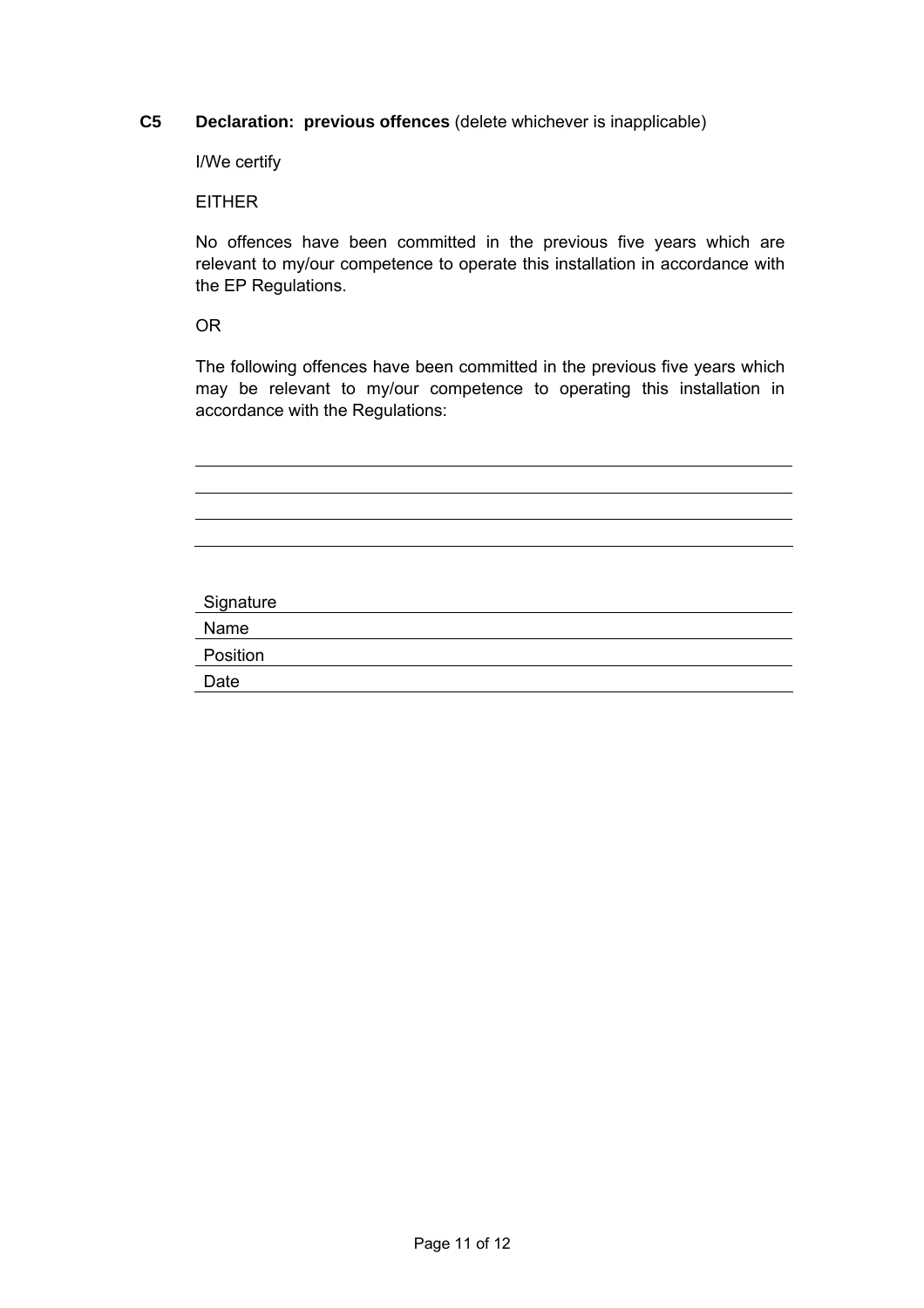# **C5 Declaration: previous offences** (delete whichever is inapplicable)

I/We certify

EITHER

No offences have been committed in the previous five years which are relevant to my/our competence to operate this installation in accordance with the EP Regulations.

### OR

The following offences have been committed in the previous five years which may be relevant to my/our competence to operating this installation in accordance with the Regulations:

Signature Name Position Date